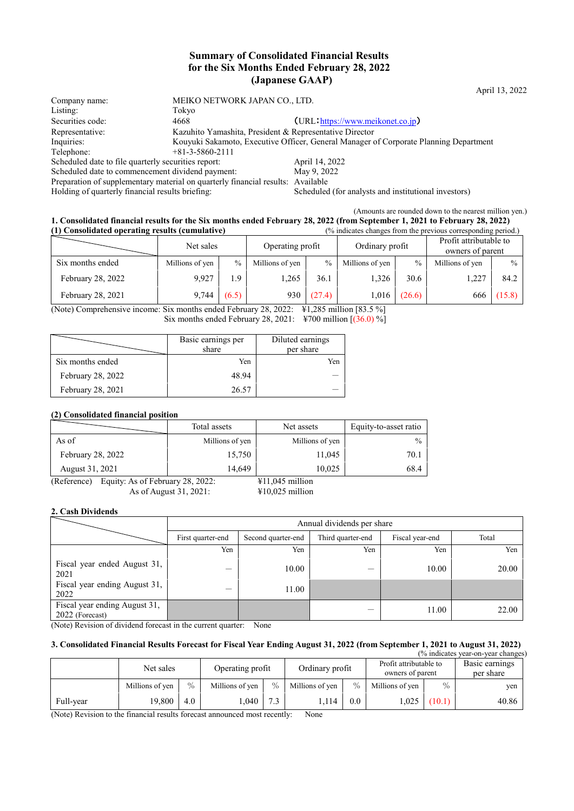## **Summary of Consolidated Financial Results for the Six Months Ended February 28, 2022 (Japanese GAAP)**

April 13, 2022

| Company name:                                                                   | MEIKO NETWORK JAPAN CO., LTD.                           |                                                                                       |
|---------------------------------------------------------------------------------|---------------------------------------------------------|---------------------------------------------------------------------------------------|
| Listing:                                                                        | Tokyo                                                   |                                                                                       |
| Securities code:                                                                | 4668                                                    | (URL https://www.meikonet.co.jp)                                                      |
| Representative:                                                                 | Kazuhito Yamashita, President & Representative Director |                                                                                       |
| Inquiries:                                                                      |                                                         | Kouyuki Sakamoto, Executive Officer, General Manager of Corporate Planning Department |
| Telephone:                                                                      | $+81-3-5860-2111$                                       |                                                                                       |
| Scheduled date to file quarterly securities report:                             |                                                         | April 14, 2022                                                                        |
| Scheduled date to commencement dividend payment:                                |                                                         | May 9, 2022                                                                           |
| Preparation of supplementary material on quarterly financial results: Available |                                                         |                                                                                       |
| Holding of quarterly financial results briefing:                                |                                                         | Scheduled (for analysts and institutional investors)                                  |

(Amounts are rounded down to the nearest million yen.)

#### **1. Consolidated financial results for the Six months ended February 28, 2022 (from September 1, 2021 to February 28, 2022) (1) Consolidated operating results (cumulative)** (% indicates changes from the previous corresponding period.)

| (1) Consondated operating results (cumulative) | Net sales       |               | Operating profit |               | Ordinary profit |        | $\frac{1}{20}$ marcates changes from the previous corresponding period.<br>Profit attributable to<br>owners of parent |               |  |
|------------------------------------------------|-----------------|---------------|------------------|---------------|-----------------|--------|-----------------------------------------------------------------------------------------------------------------------|---------------|--|
| Six months ended                               | Millions of yen | $\frac{0}{0}$ | Millions of yen  | $\frac{0}{0}$ | Millions of yen | $\%$   | Millions of yen                                                                                                       | $\frac{0}{0}$ |  |
| February 28, 2022                              | 9.927           | 1.9           | 1,265            | 36.1          | 1,326           | 30.6   | . 227                                                                                                                 | 84.2          |  |
| February 28, 2021                              | 9.744           | (6.5)         | 930              | (27.4)        | 1,016           | (26.6) | 666                                                                                                                   | (15.8)        |  |

(Note) Comprehensive income: Six months ended February 28, 2022: ¥1,285 million [83.5 %] Six months ended February 28, 2021: ¥700 million [(36.0) %]

|                   | Basic earnings per<br>share | Diluted earnings<br>per share |
|-------------------|-----------------------------|-------------------------------|
| Six months ended  | Yen                         | Yen                           |
| February 28, 2022 | 48.94                       |                               |
| February 28, 2021 | 26.57                       |                               |

### **(2) Consolidated financial position**

|                                                 | Total assets    | Net assets        | Equity-to-asset ratio |
|-------------------------------------------------|-----------------|-------------------|-----------------------|
| As of                                           | Millions of yen | Millions of yen   | $\frac{0}{0}$         |
| February 28, 2022                               | 15,750          | 11,045            | 70.1                  |
| August 31, 2021                                 | 14.649          | 10.025            | 68.4                  |
| Equity: As of February 28, 2022:<br>(Reference) |                 | $¥11,045$ million |                       |

As of August 31, 2021: ¥10,025 million

## **2. Cash Dividends**

|                                                  | Annual dividends per share |                                                                     |     |       |       |  |  |  |  |
|--------------------------------------------------|----------------------------|---------------------------------------------------------------------|-----|-------|-------|--|--|--|--|
|                                                  | First quarter-end          | Third quarter-end<br>Fiscal year-end<br>Second quarter-end<br>Total |     |       |       |  |  |  |  |
|                                                  | Yen                        | Yen                                                                 | Yen | Yen   | Yen   |  |  |  |  |
| Fiscal year ended August 31,<br>2021             |                            | 10.00                                                               |     | 10.00 | 20.00 |  |  |  |  |
| Fiscal year ending August 31,<br>2022            |                            | 11.00                                                               |     |       |       |  |  |  |  |
| Fiscal year ending August 31,<br>2022 (Forecast) |                            |                                                                     |     | 11.00 | 22.00 |  |  |  |  |

(Note) Revision of dividend forecast in the current quarter: None

### **3. Consolidated Financial Results Forecast for Fiscal Year Ending August 31, 2022 (from September 1, 2021 to August 31, 2022)**

| $\frac{9}{6}$ indicates year-on-year changes) |                 |               |                  |               |                 |      |                                            |        |                             |
|-----------------------------------------------|-----------------|---------------|------------------|---------------|-----------------|------|--------------------------------------------|--------|-----------------------------|
|                                               | Net sales       |               | Operating profit |               | Ordinary profit |      | Profit attributable to<br>owners of parent |        | Basic earnings<br>per share |
|                                               | Millions of yen | $\frac{0}{0}$ | Millions of yen  | $\frac{0}{0}$ | Millions of yen | $\%$ | Millions of yen                            | $\%$   | yen                         |
| Full-year                                     | 19,800          | 4.0           | .040             | 7.3           | 14              | 0.0  | .025                                       | (10.1) | 40.86                       |

(Note) Revision to the financial results forecast announced most recently: None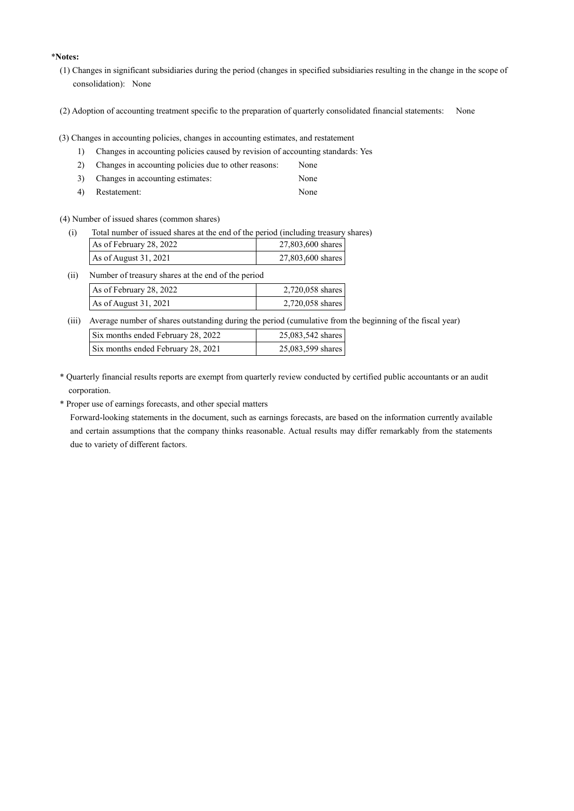### \***Notes:**

- (1) Changes in significant subsidiaries during the period (changes in specified subsidiaries resulting in the change in the scope of consolidation): None
- (2) Adoption of accounting treatment specific to the preparation of quarterly consolidated financial statements: None
- (3) Changes in accounting policies, changes in accounting estimates, and restatement
	- 1) Changes in accounting policies caused by revision of accounting standards: Yes
	- 2) Changes in accounting policies due to other reasons: None
	- 3) Changes in accounting estimates: None
	- 4) Restatement: None

(4) Number of issued shares (common shares)

(i) Total number of issued shares at the end of the period (including treasury shares)

| As of February 28, 2022 | 27,803,600 shares |
|-------------------------|-------------------|
| As of August 31, 2021   | 27,803,600 shares |

| (i) | Number of treasury shares at the end of the period |                  |
|-----|----------------------------------------------------|------------------|
|     | As of February 28, 2022                            | 2,720,058 shares |
|     | As of August 31, 2021                              | 2,720,058 shares |

(iii) Average number of shares outstanding during the period (cumulative from the beginning of the fiscal year)

| Six months ended February 28, 2022 | 25,083,542 shares |
|------------------------------------|-------------------|
| Six months ended February 28, 2021 | 25,083,599 shares |

\* Quarterly financial results reports are exempt from quarterly review conducted by certified public accountants or an audit corporation.

\* Proper use of earnings forecasts, and other special matters

Forward-looking statements in the document, such as earnings forecasts, are based on the information currently available and certain assumptions that the company thinks reasonable. Actual results may differ remarkably from the statements due to variety of different factors.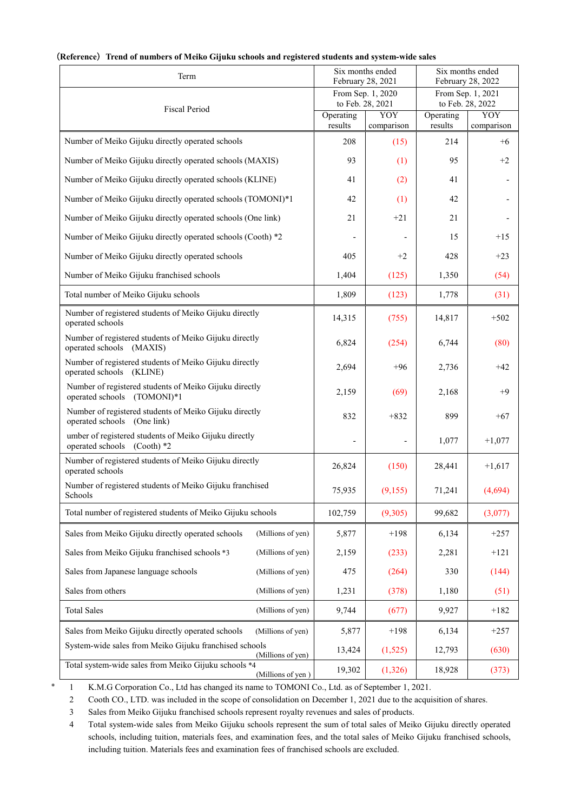| Term                                                                                      |                      | Six months ended<br>Six months ended<br>February 28, 2021<br>February 28, 2022 |                      |                                       |
|-------------------------------------------------------------------------------------------|----------------------|--------------------------------------------------------------------------------|----------------------|---------------------------------------|
|                                                                                           |                      | From Sep. 1, 2020<br>to Feb. 28, 2021                                          |                      | From Sep. 1, 2021<br>to Feb. 28, 2022 |
| <b>Fiscal Period</b>                                                                      | Operating<br>results | YOY<br>comparison                                                              | Operating<br>results | YOY<br>comparison                     |
| Number of Meiko Gijuku directly operated schools                                          | 208                  | (15)                                                                           | 214                  | $+6$                                  |
| Number of Meiko Gijuku directly operated schools (MAXIS)                                  | 93                   | (1)                                                                            | 95                   | $+2$                                  |
| Number of Meiko Gijuku directly operated schools (KLINE)                                  | 41                   | (2)                                                                            | 41                   |                                       |
| Number of Meiko Gijuku directly operated schools (TOMONI)*1                               | 42                   | (1)                                                                            | 42                   |                                       |
| Number of Meiko Gijuku directly operated schools (One link)                               | 21                   | $+21$                                                                          | 21                   |                                       |
| Number of Meiko Gijuku directly operated schools (Cooth) *2                               |                      |                                                                                | 15                   | $+15$                                 |
| Number of Meiko Gijuku directly operated schools                                          | 405                  | $+2$                                                                           | 428                  | $+23$                                 |
| Number of Meiko Gijuku franchised schools                                                 | 1,404                | (125)                                                                          | 1,350                | (54)                                  |
| Total number of Meiko Gijuku schools                                                      | 1,809                | (123)                                                                          | 1,778                | (31)                                  |
| Number of registered students of Meiko Gijuku directly<br>operated schools                | 14,315               | (755)                                                                          | 14,817               | $+502$                                |
| Number of registered students of Meiko Gijuku directly<br>operated schools (MAXIS)        | 6,824                | (254)                                                                          | 6,744                | (80)                                  |
| Number of registered students of Meiko Gijuku directly<br>operated schools (KLINE)        | 2,694                | $+96$                                                                          | 2,736                | $+42$                                 |
| Number of registered students of Meiko Gijuku directly<br>operated schools (TOMONI)*1     | 2,159                | (69)                                                                           | 2,168                | $+9$                                  |
| Number of registered students of Meiko Gijuku directly<br>operated schools (One link)     | 832                  | $+832$                                                                         | 899                  | $+67$                                 |
| umber of registered students of Meiko Gijuku directly<br>operated schools<br>$(Cooth)$ *2 | L,                   |                                                                                | 1,077                | $+1,077$                              |
| Number of registered students of Meiko Gijuku directly<br>operated schools                | 26,824               | (150)                                                                          | 28,441               | $+1,617$                              |
| Number of registered students of Meiko Gijuku franchised<br>Schools                       | 75,935               | (9,155)                                                                        | 71,241               | (4,694)                               |
| Total number of registered students of Meiko Gijuku schools                               | 102,759              | (9,305)                                                                        | 99,682               | (3,077)                               |
| Sales from Meiko Gijuku directly operated schools<br>(Millions of yen)                    | 5,877                | $+198$                                                                         | 6,134                | $+257$                                |
| Sales from Meiko Gijuku franchised schools *3<br>(Millions of yen)                        | 2,159                | (233)                                                                          | 2,281                | $+121$                                |
| Sales from Japanese language schools<br>(Millions of yen)                                 | 475                  | (264)                                                                          | 330                  | (144)                                 |
| Sales from others<br>(Millions of yen)                                                    | 1,231                | (378)                                                                          | 1,180                | (51)                                  |
| <b>Total Sales</b><br>(Millions of yen)                                                   | 9,744                | (677)                                                                          | 9,927                | $+182$                                |
| Sales from Meiko Gijuku directly operated schools<br>(Millions of yen)                    | 5,877                | $+198$                                                                         | 6,134                | $+257$                                |
| System-wide sales from Meiko Gijuku franchised schools<br>(Millions of yen)               | 13,424               | (1,525)                                                                        | 12,793               | (630)                                 |
| Total system-wide sales from Meiko Gijuku schools *4<br>(Millions of yen)                 | 19,302               | (1,326)                                                                        | 18,928               | (373)                                 |

## (**Reference**)**Trend of numbers of Meiko Gijuku schools and registered students and system-wide sales**

1 K.M.G Corporation Co., Ltd has changed its name to TOMONI Co., Ltd. as of September 1, 2021.

2 Cooth CO., LTD. was included in the scope of consolidation on December 1, 2021 due to the acquisition of shares.

3 Sales from Meiko Gijuku franchised schools represent royalty revenues and sales of products.

4 Total system-wide sales from Meiko Gijuku schools represent the sum of total sales of Meiko Gijuku directly operated schools, including tuition, materials fees, and examination fees, and the total sales of Meiko Gijuku franchised schools, including tuition. Materials fees and examination fees of franchised schools are excluded.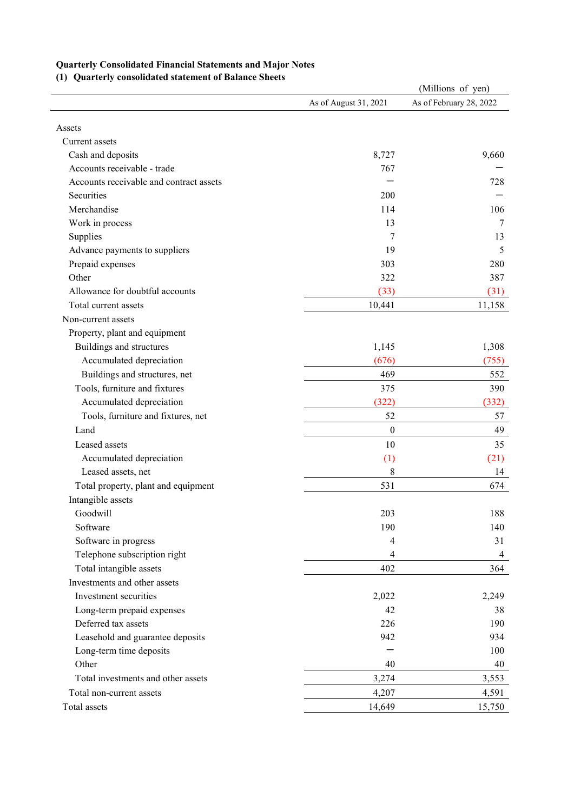# **Quarterly Consolidated Financial Statements and Major Notes**

**(1) Quarterly consolidated statement of Balance Sheets**

| Vaarterry consonaated statement of Banance She |                       | (Millions of yen)       |
|------------------------------------------------|-----------------------|-------------------------|
|                                                | As of August 31, 2021 | As of February 28, 2022 |
|                                                |                       |                         |
| Assets                                         |                       |                         |
| Current assets                                 |                       |                         |
| Cash and deposits                              | 8,727                 | 9,660                   |
| Accounts receivable - trade                    | 767                   |                         |
| Accounts receivable and contract assets        |                       | 728                     |
| Securities                                     | 200                   |                         |
| Merchandise                                    | 114                   | 106                     |
| Work in process                                | 13                    | 7                       |
| Supplies                                       | 7                     | 13                      |
| Advance payments to suppliers                  | 19                    | 5                       |
| Prepaid expenses                               | 303                   | 280                     |
| Other                                          | 322                   | 387                     |
| Allowance for doubtful accounts                | (33)                  | (31)                    |
| Total current assets                           | 10,441                | 11,158                  |
| Non-current assets                             |                       |                         |
| Property, plant and equipment                  |                       |                         |
| Buildings and structures                       | 1,145                 | 1,308                   |
| Accumulated depreciation                       | (676)                 | (755)                   |
| Buildings and structures, net                  | 469                   | 552                     |
| Tools, furniture and fixtures                  | 375                   | 390                     |
| Accumulated depreciation                       | (322)                 | (332)                   |
| Tools, furniture and fixtures, net             | 52                    | 57                      |
| Land                                           | $\boldsymbol{0}$      | 49                      |
| Leased assets                                  | 10                    | 35                      |
| Accumulated depreciation                       | (1)                   | (21)                    |
| Leased assets, net                             | 8                     | 14                      |
| Total property, plant and equipment            | 531                   | 674                     |
| Intangible assets                              |                       |                         |
| Goodwill                                       | 203                   | 188                     |
| Software                                       | 190                   | 140                     |
| Software in progress                           | $\overline{4}$        | 31                      |
| Telephone subscription right                   | 4                     | 4                       |
| Total intangible assets                        | 402                   | 364                     |
| Investments and other assets                   |                       |                         |
| Investment securities                          |                       |                         |
|                                                | 2,022                 | 2,249                   |
| Long-term prepaid expenses                     | 42                    | 38                      |
| Deferred tax assets                            | 226                   | 190                     |
| Leasehold and guarantee deposits               | 942                   | 934                     |
| Long-term time deposits                        |                       | 100                     |
| Other                                          | 40                    | 40                      |
| Total investments and other assets             | 3,274                 | 3,553                   |
| Total non-current assets                       | 4,207                 | 4,591                   |
| Total assets                                   | 14,649                | 15,750                  |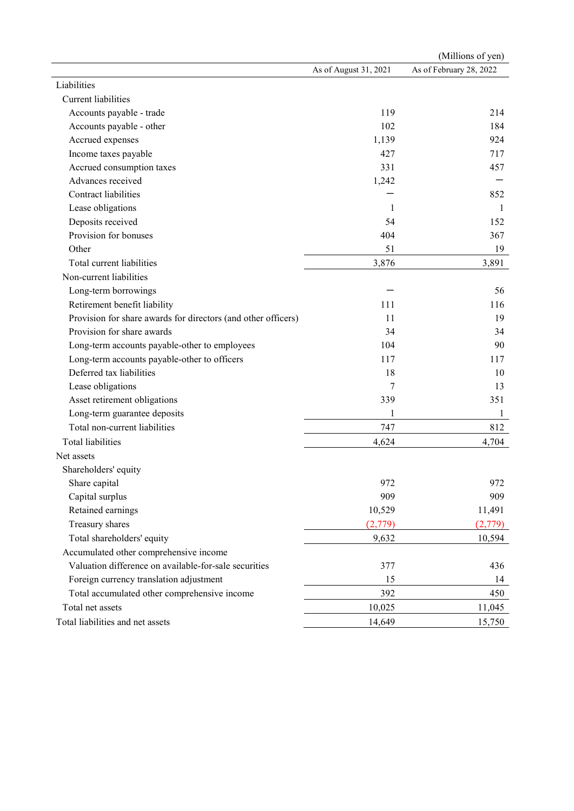|                                                               |                       | (Millions of yen)       |
|---------------------------------------------------------------|-----------------------|-------------------------|
|                                                               | As of August 31, 2021 | As of February 28, 2022 |
| Liabilities                                                   |                       |                         |
| Current liabilities                                           |                       |                         |
| Accounts payable - trade                                      | 119                   | 214                     |
| Accounts payable - other                                      | 102                   | 184                     |
| Accrued expenses                                              | 1,139                 | 924                     |
| Income taxes payable                                          | 427                   | 717                     |
| Accrued consumption taxes                                     | 331                   | 457                     |
| Advances received                                             | 1,242                 |                         |
| Contract liabilities                                          |                       | 852                     |
| Lease obligations                                             | 1                     | $\mathbf{1}$            |
| Deposits received                                             | 54                    | 152                     |
| Provision for bonuses                                         | 404                   | 367                     |
| Other                                                         | 51                    | 19                      |
| Total current liabilities                                     | 3,876                 | 3,891                   |
| Non-current liabilities                                       |                       |                         |
| Long-term borrowings                                          |                       | 56                      |
| Retirement benefit liability                                  | 111                   | 116                     |
| Provision for share awards for directors (and other officers) | 11                    | 19                      |
| Provision for share awards                                    | 34                    | 34                      |
| Long-term accounts payable-other to employees                 | 104                   | 90                      |
| Long-term accounts payable-other to officers                  | 117                   | 117                     |
| Deferred tax liabilities                                      | 18                    | 10                      |
| Lease obligations                                             | 7                     | 13                      |
| Asset retirement obligations                                  | 339                   | 351                     |
| Long-term guarantee deposits                                  | 1                     | 1                       |
| Total non-current liabilities                                 | 747                   | 812                     |
| <b>Total liabilities</b>                                      | 4,624                 | 4,704                   |
| Net assets                                                    |                       |                         |
| Shareholders' equity                                          |                       |                         |
| Share capital                                                 | 972                   | 972                     |
| Capital surplus                                               | 909                   | 909                     |
| Retained earnings                                             | 10,529                | 11,491                  |
| Treasury shares                                               | (2,779)               | (2,779)                 |
| Total shareholders' equity                                    | 9,632                 | 10,594                  |
| Accumulated other comprehensive income                        |                       |                         |
| Valuation difference on available-for-sale securities         | 377                   | 436                     |
| Foreign currency translation adjustment                       | 15                    | 14                      |
| Total accumulated other comprehensive income                  | 392                   | 450                     |
| Total net assets                                              | 10,025                | 11,045                  |
| Total liabilities and net assets                              | 14,649                | 15,750                  |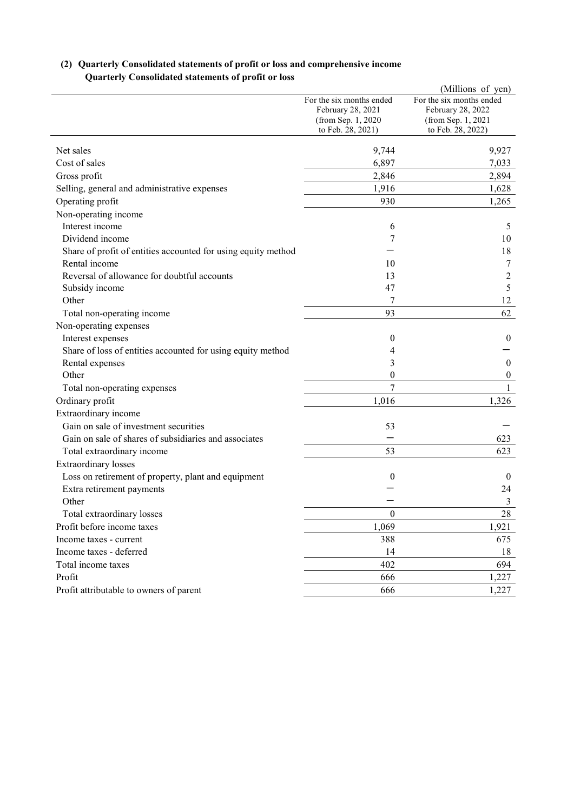|                                                               |                                          | (Millions of yen)                       |
|---------------------------------------------------------------|------------------------------------------|-----------------------------------------|
|                                                               | For the six months ended                 | For the six months ended                |
|                                                               | February 28, 2021                        | February 28, 2022                       |
|                                                               | (from Sep. 1, 2020)<br>to Feb. 28, 2021) | (from Sep. 1, 2021<br>to Feb. 28, 2022) |
|                                                               |                                          |                                         |
| Net sales                                                     | 9,744                                    | 9,927                                   |
| Cost of sales                                                 | 6,897                                    | 7,033                                   |
| Gross profit                                                  | 2,846                                    | 2,894                                   |
| Selling, general and administrative expenses                  | 1,916                                    | 1,628                                   |
| Operating profit                                              | 930                                      | 1,265                                   |
| Non-operating income                                          |                                          |                                         |
| Interest income                                               | 6                                        | 5                                       |
| Dividend income                                               | 7                                        | 10                                      |
| Share of profit of entities accounted for using equity method |                                          | 18                                      |
| Rental income                                                 | 10                                       | 7                                       |
| Reversal of allowance for doubtful accounts                   | 13                                       | $\overline{c}$                          |
| Subsidy income                                                | 47                                       | 5                                       |
| Other                                                         |                                          | 12                                      |
| Total non-operating income                                    | 93                                       | 62                                      |
| Non-operating expenses                                        |                                          |                                         |
| Interest expenses                                             | $\theta$                                 | $\bf{0}$                                |
| Share of loss of entities accounted for using equity method   | 4                                        |                                         |
| Rental expenses                                               | 3                                        | $\mathbf{0}$                            |
| Other                                                         | $\overline{0}$                           | $\boldsymbol{0}$                        |
| Total non-operating expenses                                  | $\overline{7}$                           | $\mathbf{1}$                            |
| Ordinary profit                                               | 1,016                                    | 1,326                                   |
| Extraordinary income                                          |                                          |                                         |
| Gain on sale of investment securities                         | 53                                       |                                         |
| Gain on sale of shares of subsidiaries and associates         |                                          | 623                                     |
| Total extraordinary income                                    | 53                                       | 623                                     |
| <b>Extraordinary</b> losses                                   |                                          |                                         |
| Loss on retirement of property, plant and equipment           | $\boldsymbol{0}$                         | $\boldsymbol{0}$                        |
| Extra retirement payments                                     |                                          | 24                                      |
| Other                                                         |                                          | 3                                       |
| Total extraordinary losses                                    | $\boldsymbol{0}$                         | $28\,$                                  |
| Profit before income taxes                                    | 1,069                                    | 1,921                                   |
| Income taxes - current                                        | 388                                      | 675                                     |
| Income taxes - deferred                                       | 14                                       | 18                                      |
| Total income taxes                                            | 402                                      | 694                                     |
| Profit                                                        | 666                                      | 1,227                                   |
| Profit attributable to owners of parent                       | 666                                      | 1,227                                   |

# **(2) Quarterly Consolidated statements of profit or loss and comprehensive income Quarterly Consolidated statements of profit or loss**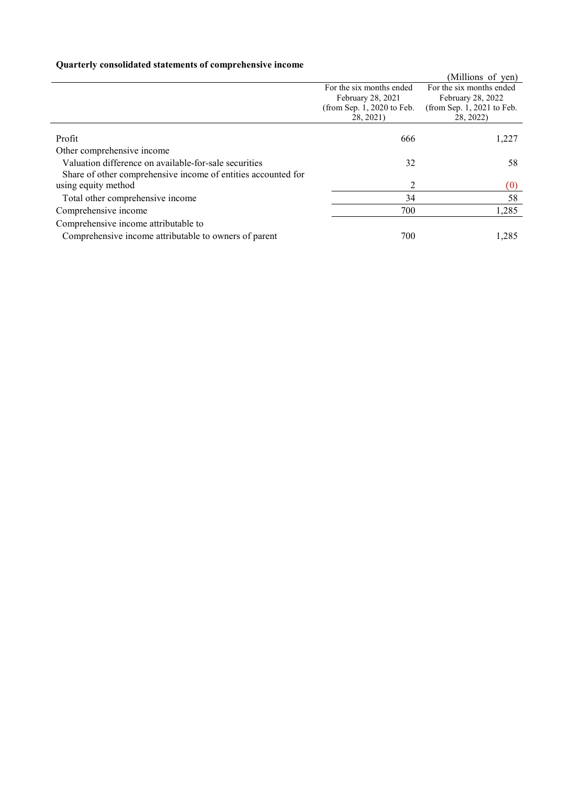# **Quarterly consolidated statements of comprehensive income**

|                                                               |                              | (Millions of yen)            |
|---------------------------------------------------------------|------------------------------|------------------------------|
|                                                               | For the six months ended     | For the six months ended     |
|                                                               | February 28, 2021            | February 28, 2022            |
|                                                               | (from Sep. $1, 2020$ to Feb. | (from Sep. $1, 2021$ to Feb. |
|                                                               | 28, 2021)                    | 28, 2022)                    |
|                                                               |                              |                              |
| Profit                                                        | 666                          | 1,227                        |
| Other comprehensive income                                    |                              |                              |
| Valuation difference on available-for-sale securities         | 32                           | 58                           |
| Share of other comprehensive income of entities accounted for |                              |                              |
| using equity method                                           | 2                            | (0)                          |
| Total other comprehensive income                              | 34                           | 58                           |
| Comprehensive income                                          | 700                          | 1,285                        |
| Comprehensive income attributable to                          |                              |                              |
| Comprehensive income attributable to owners of parent         | 700                          | 1,285                        |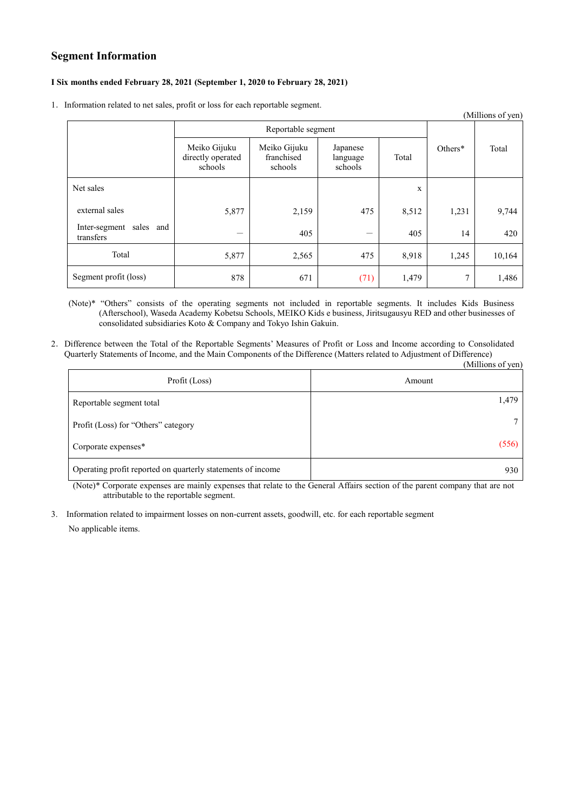# **Segment Information**

### **Ⅰ Six months ended February 28, 2021 (September 1, 2020 to February 28, 2021)**

1. Information related to net sales, profit or loss for each reportable segment.

|                                         |                                              |                                       |                                 |       |               | (Millions of yen) |
|-----------------------------------------|----------------------------------------------|---------------------------------------|---------------------------------|-------|---------------|-------------------|
|                                         | Reportable segment                           |                                       |                                 |       |               |                   |
|                                         | Meiko Gijuku<br>directly operated<br>schools | Meiko Gijuku<br>franchised<br>schools | Japanese<br>language<br>schools | Total | Others*       | Total             |
| Net sales                               |                                              |                                       |                                 | X     |               |                   |
| external sales                          | 5,877                                        | 2,159                                 | 475                             | 8,512 | 1,231         | 9,744             |
| Inter-segment sales<br>and<br>transfers |                                              | 405                                   | —                               | 405   | 14            | 420               |
| Total                                   | 5,877                                        | 2,565                                 | 475                             | 8,918 | 1,245         | 10,164            |
| Segment profit (loss)                   | 878                                          | 671                                   | (71)                            | 1,479 | $\mathcal{I}$ | 1,486             |

(Note)\* "Others" consists of the operating segments not included in reportable segments. It includes Kids Business (Afterschool), Waseda Academy Kobetsu Schools, MEIKO Kids e business, Jiritsugausyu RED and other businesses of consolidated subsidiaries Koto & Company and Tokyo Ishin Gakuin.

2.Difference between the Total of the Reportable Segments' Measures of Profit or Loss and Income according to Consolidated Quarterly Statements of Income, and the Main Components of the Difference (Matters related to Adjustment of Difference)

|                                                             | (Millions of yen) |
|-------------------------------------------------------------|-------------------|
| Profit (Loss)                                               | Amount            |
| Reportable segment total                                    | 1,479             |
| Profit (Loss) for "Others" category                         |                   |
| Corporate expenses*                                         | (556)             |
| Operating profit reported on quarterly statements of income | 930               |

(Note)\* Corporate expenses are mainly expenses that relate to the General Affairs section of the parent company that are not attributable to the reportable segment.

3. Information related to impairment losses on non-current assets, goodwill, etc. for each reportable segment No applicable items.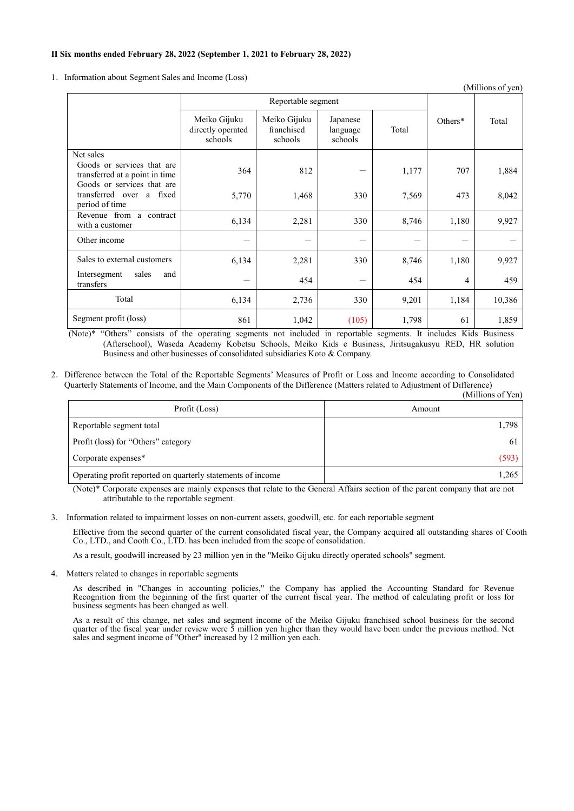### **Ⅱ Six months ended February 28, 2022 (September 1, 2021 to February 28, 2022)**

1. Information about Segment Sales and Income (Loss)

| (Millions of yen)                                                           |                                              |                                       |                                 |       |         |        |
|-----------------------------------------------------------------------------|----------------------------------------------|---------------------------------------|---------------------------------|-------|---------|--------|
|                                                                             | Reportable segment                           |                                       |                                 |       |         |        |
|                                                                             | Meiko Gijuku<br>directly operated<br>schools | Meiko Gijuku<br>franchised<br>schools | Japanese<br>language<br>schools | Total | Others* | Total  |
| Net sales                                                                   |                                              |                                       |                                 |       |         |        |
| Goods or services that are<br>transferred at a point in time                | 364                                          | 812                                   |                                 | 1,177 | 707     | 1,884  |
| Goods or services that are<br>transferred over<br>a fixed<br>period of time | 5,770                                        | 1,468                                 | 330                             | 7,569 | 473     | 8,042  |
| Revenue from a contract<br>with a customer                                  | 6,134                                        | 2,281                                 | 330                             | 8,746 | 1,180   | 9,927  |
| Other income                                                                |                                              |                                       |                                 |       |         |        |
| Sales to external customers                                                 | 6,134                                        | 2,281                                 | 330                             | 8,746 | 1,180   | 9,927  |
| Intersegment<br>sales<br>and<br>transfers                                   |                                              | 454                                   |                                 | 454   | 4       | 459    |
| Total                                                                       | 6,134                                        | 2,736                                 | 330                             | 9,201 | 1,184   | 10,386 |
| Segment profit (loss)                                                       | 861                                          | 1,042                                 | (105)                           | 1,798 | 61      | 1,859  |

(Note)\* "Others" consists of the operating segments not included in reportable segments. It includes Kids Business (Afterschool), Waseda Academy Kobetsu Schools, Meiko Kids e Business, Jiritsugakusyu RED, HR solution Business and other businesses of consolidated subsidiaries Koto & Company.

2.Difference between the Total of the Reportable Segments' Measures of Profit or Loss and Income according to Consolidated Quarterly Statements of Income, and the Main Components of the Difference (Matters related to Adjustment of Difference) (Millions of Yen)

|                                                             | , IVIIIIIUIII UI TUII |
|-------------------------------------------------------------|-----------------------|
| Profit (Loss)                                               | Amount                |
| Reportable segment total                                    | 1,798                 |
| Profit (loss) for "Others" category                         | 61                    |
| Corporate expenses*                                         | (593)                 |
| Operating profit reported on quarterly statements of income | 1,265                 |

(Note)\* Corporate expenses are mainly expenses that relate to the General Affairs section of the parent company that are not attributable to the reportable segment.

3. Information related to impairment losses on non-current assets, goodwill, etc. for each reportable segment

Effective from the second quarter of the current consolidated fiscal year, the Company acquired all outstanding shares of Cooth Co., LTD., and Cooth Co., LTD. has been included from the scope of consolidation.

As a result, goodwill increased by 23 million yen in the "Meiko Gijuku directly operated schools" segment.

4. Matters related to changes in reportable segments

As described in "Changes in accounting policies," the Company has applied the Accounting Standard for Revenue Recognition from the beginning of the first quarter of the current fiscal year. The method of calculating profit or loss for business segments has been changed as well.

As a result of this change, net sales and segment income of the Meiko Gijuku franchised school business for the second quarter of the fiscal year under review were  $\frac{2}{5}$  million yen higher than they would have been under the previous method. Net sales and segment income of "Other" increased by 12 million yen each.